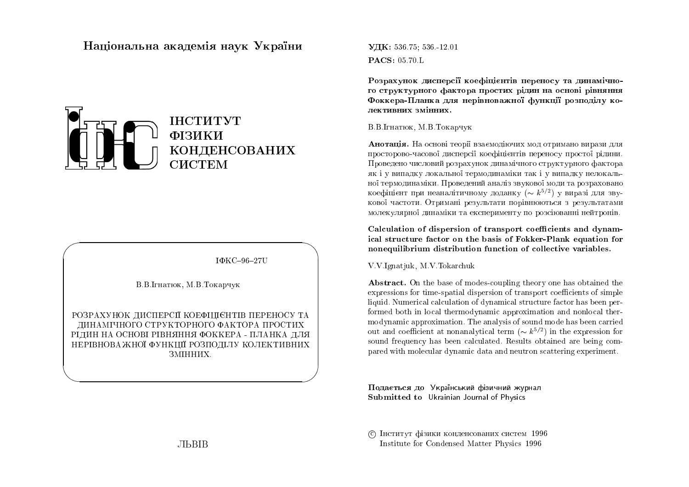# Національна академія наук України



IΦKC-96-27U

В.В. Ігнатюк, М.В. Токарчук

РОЗРАХУНОК ДИСПЕРСІЇ КОЕФІЦІЄНТІВ ПЕРЕНОСУ ТА ДИНАМІЧНОГО СТРУКТОРНОГО ФАКТОРА ПРОСТИХ РІДИН НА ОСНОВІ РІВНЯННЯ ФОККЕРА - ПЛАНКА ДЛЯ НЕРІВНОВА ЖНОЇ ФУНКЦІЇ РОЗПОДІЛУ КОЛЕКТИВНИХ ЗМІННИХ.

УДК: 536.75: 536.12.01 **PACS: 05.70.L** 

Розрахунок дисперсії коефіцієнтів переносу та динамічного структурного фактора простих рідин на основі рівняння Фоккера-Планка для нерівноважної функції розподілу колективних змінних.

### В.В.Ігнатюк, М.В.Токарчук

Анотація. На основі теорії взаємодіючих мод отримано вирази для просторово-часової дисперсії коефіцієнтів переносу простої рідини. Проведено числовий розрахунок динамічного структурного фактора як і у випадку локальної термодинаміки так і у випадку нелокальної термодинаміки. Проведений аналіз звукової моди та розраховано коефіцієнт при неаналітичному доданку  $(\sim k^{5/2})$  у виразі для звукової частоти. Отримані результати порівнюються з результатами молекулярної динаміки та експерименту по розсіюванні нейтронів.

Calculation of dispersion of transport coefficients and dynamical structure factor on the basis of Fokker-Plank equation for nonequilibrium distribution function of collective variables.

V.V.Ignatjuk, M.V.Tokarchuk

**Abstract.** On the base of modes-coupling theory one has obtained the expressions for time-spatial dispersion of transport coefficients of simple liquid. Numerical calculation of dynamical structure factor has been performed both in local thermodynamic approximation and nonlocal thermodynamic approximation. The analysis of sound mode has been carried out and coefficient at nonanalytical term ( $\sim k^{5/2}$ ) in the expression for sound frequency has been calculated. Results obtained are being compared with molecular dynamic data and neutron scattering experiment.

Подається до Український фізичний журнал Submitted to Ukrainian Journal of Physics

С Інститут фізики конденсованих систем 1996 Institute for Condensed Matter Physics 1996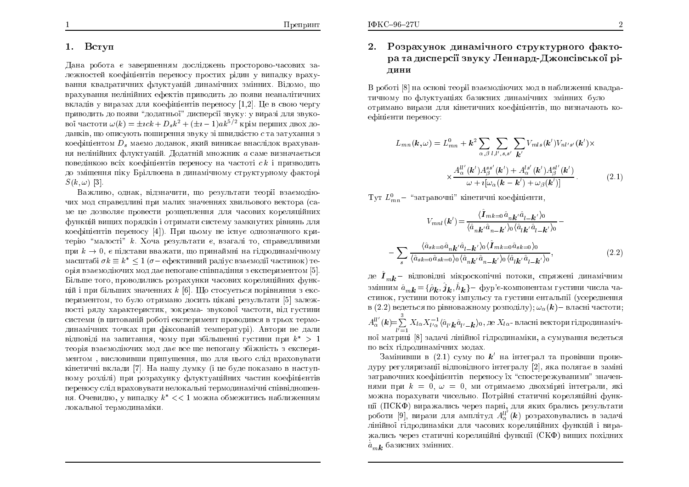### 1.Bступ

Дана робота є завершенням досліджень просторово-часових залежностей коефіцієнтів переносу простих рідин у випадку врахування квадратичних флуктуацій динамічних змінних. Відомо, що врахування нелінійних ефектів приводить до появи неаналітичних<br>вкладів у виразах для коефіцієнтів переносу [1,2]. Це в свою чергу приводить до появи "додатньої" дисперсії звуку: у виразі для звукової частоти  $\omega(k) = \pm ick + D_s k^2 + (\pm i - 1)ak^{5/2}$  крім перших двох доданків, що описують поширення звуку зі швидкістю  $c$  та затухання з коефіцієнтом  $D_s$  маємо доданок, який виникає внаслідок врахування нелінійних флуктуацій. Додатній множник  $\emph{a}$  саме визначається поведінкою всіх коефіцієнтів переносу на частоті  $ck$  і призводить до зміщення піку Бріллюена в динамічному структурному факторі  $S(k,\omega)$  [3].

Важливо, однак, відзначити, що результати теорії взаємодіючих мод справедливі при малих значеннях хвильового вектора (caме це дозволяє провести розщеплення для часових кореляційних<br>. функцій вищих порядків і отримати систему замкнутих рівнянь для коефіцієнтів переносу [4]). При цьому не існує однозначного критерію "малості" *k*. Хоча результати є, взагалі то, справедливими при  $k \to 0$ , є підстави вважати, що принаймні на гідродинамічному<br>масштабі  $\sigma k = k^* < 1$  ( $\sigma$ – ефективний радіус взаємодії частинок) те масштабі  $\sigma k \equiv k^* \leq 1$   $(\sigma-$  ефективний радіус взаємодії частинок) тел орія взаємодіючих мод дає непогане співпадіння з експериментом [5].<br>Fi Більше того, проводились розрахунки часових кореляційних функцій і при більших значеннях  $k$  [6]. Що стосується порівняння з експериментом, то було отримано досить цікаві результати [5] залежності ряду характеристик, зокрема- звукової частоти, від густини системи (в цитованій роботі експеримент проводився в трьох термодинамічних точках при фіксованій температурі). Автори не дали відповіді на запитання, чому при збільшенні густини при  $k^* > 1$ теорія взаємодіючих мод дає все ще непогану збіжність з експери<mark>-</mark> ментом , висловивши припущення, що для цього слід враховувати кінетичні вклади [7]. На нашу думку (і це буде показано в наступному розділі) при розрахунку флуктуаційних частин коефіцієнтів переносу слід враховувати нелокальні термодинамічні співвідношен-<br>ня. Очевидно, у випадку  $k^* << 1$  можна обмежитись наближенням локальної термодинаміки.

## 2. Розрахунок динамічного структурного фактора та дисперсії звуку Леннард-Джонсівської рі-ДИНИ

В роботі [8] на основі теорії взаємодіючих мод в наближенні квадратичному по флуктуаціях базисних динамічних змінних було отримано вирази для кінетичних коефіцієнтів, що визначають коефіцієнти переносу:

$$
L_{mn}(\mathbf{k},\omega) = L_{mn}^0 + \mathbf{k}^2 \sum_{\alpha,\beta} \sum_{l,l',s,s'} \sum_{\mathbf{k}'} V_{mls}(\mathbf{k}') V_{nl's'}(\mathbf{k}') \times
$$

$$
\times \frac{A_{\alpha}^{ll'}(\mathbf{k}') A_{\beta}^{ss'}(\mathbf{k}') + A_{\alpha}^{ls'}(\mathbf{k}') A_{\beta}^{sl'}(\mathbf{k}')}{\omega + i[\omega_{\alpha}(\mathbf{k} - \mathbf{k}') + \omega_{\beta}(\mathbf{k}')]}
$$
(2.1)

 $\mathrm{Ty\tau} \ L^0_{mn}$ — "затравочні" кінетичні коефіцієнти,

$$
V_{mnl}(\mathbf{k}') = \frac{\langle \hat{\mathbf{I}}_{mk=0} \hat{a}_{n\mathbf{k}'} \hat{a}_{l-\mathbf{k}'} \rangle_{0}}{\langle \hat{a}_{n\mathbf{k}'} \hat{a}_{n-\mathbf{k}'} \rangle_{0} \langle \hat{a}_{l\mathbf{k}'} \hat{a}_{l-\mathbf{k}'} \rangle_{0}} -
$$

$$
\sum_{s} \frac{\langle \hat{a}_{sk=0} \hat{a}_{n\mathbf{k}'} \hat{a}_{l-\mathbf{k}'} \rangle_{0} \langle \hat{\mathbf{I}}_{mk=0} \hat{a}_{sk=0} \rangle_{0}}{\langle \hat{a}_{sk=0} \hat{a}_{sk=0} \rangle_{0} \langle \hat{a}_{n\mathbf{k}'} \hat{a}_{n-\mathbf{k}'} \rangle_{0} \langle \hat{a}_{l\mathbf{k}'} \hat{a}_{l-\mathbf{k}'} \rangle_{0}},
$$
(2.2)

де  $\hat{\boldsymbol{I}}_{m\boldsymbol{k}}$ — відповідні мікроскопічні потоки, спряжені динамічним змінним  $\hat{a}_{m\bm{k}}$  =  $\{\hat{\rho}_{\bm{k}}, \hat{j}_{\bm{k}}, \hat{h}_{\bm{k}}\}$ – фур'є-компонентам густини числа частинок, густини потоку імпульсу та густини ентальпії (усереднення в (2.2) ведеться по рівноважному розподілу);  $\omega_\alpha(\bm{k})$ — власні частоти;  $A_\alpha^{ll'}(\bm{k})\!\!=\!\!\sum\limits_{l'=1}^3X_{l\alpha}X_{l'\alpha}^{-1}\langle\hat{a}_{l'}\bm{k}\hat{a}_{l'-}\bm{k}\rangle_0,$  де  $X_{l\alpha}$ ної матриці [8] задачі лінійної гідродинаміки, а сумування ведеться  $\frac{-1}{l'\alpha}\langle \hat{a}_{l'}\bm{k}\hat{a}_{l'-}\bm{k}\rangle_0$ , де  $X_{l\alpha}$ - власні вектори гідродинамічпо всіх гідродинамічних модах.<br>.

Замінивши в  $(2.1)$  суму по  $\boldsymbol{k}'$  на інтеграл та провівши процедуру регуляризації відповідного інтегралу [2], яка полягає в заміні затравочних коефіцієнтів переносу їх "спостережуваними" значеннями при  $k~=~0,~\omega~=~0,$  ми отримаємо двохмірні інтеграли, які можна порахувати чисельно. Потрійні статичні кореляційні функції (ПСКФ) виражались через парні, для яких брались результати роботи [9], вирази для амплітуд  $A_\alpha^{ll'}(\boldsymbol{k})$  розраховувались в задачі лінійної гідродинаміки для часових кореляційних функцій і виражались через статичні кореляційні функції (СКФ) вищих похідних<br>.  $\mathbf{r}$  and  $\mathbf{r}$  and  $\mathbf{r}$  and  $\mathbf{r}$  $\hat{a}_{m\boldsymbol{k}}$  базисних змінних.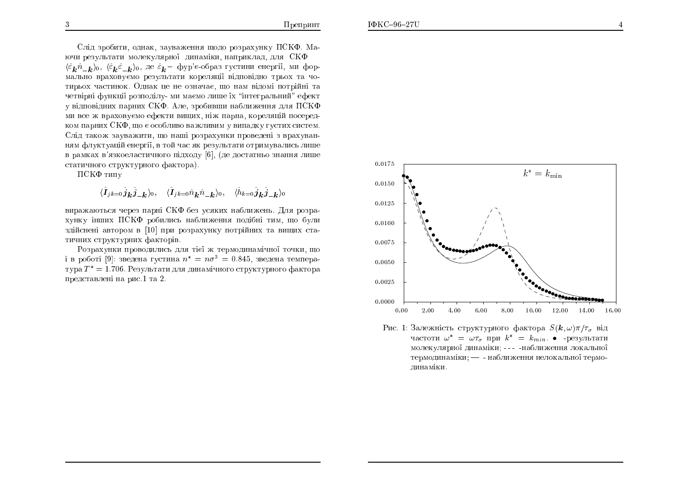Слід зробити, однак, зауваження щодо розрахунку ПСКФ. Маючи результати молекулярної динаміки, наприклад, для СКФ  $\langle \hat{\varepsilon}_k \hat{n}_{-k} \rangle_0$ ,  $\langle \hat{\varepsilon}_k \hat{\varepsilon}_{-k} \rangle_0$ , де  $\hat{\varepsilon}_k$  – фур'є-образ густини енергії, ми формально враховуємо результати кореляції відповідно трьох та чотирьох частинок. Однак це не означає, що нам відомі потрійні та четвірні функції розподілу-ми маємо лише їх "інтегральний" ефект у відповідних парних СКФ. Але, зробивши наближення для ПСКФ ми все ж враховуємо ефекти вищих, ніж парна, кореляцій посередком парних СКФ, що є особливо важливим у випадку густих систем. Слід також зауважити, що наші розрахунки проведені з врахуванням флуктуацій енергії, в той час як результати отримувались лише в рамках в'язкоеластичного підходу [6], (де достатньо знання лише статичного структурного фактора).

ПСКФ типу

$$
\langle \hat{\bm{I}}_{jk=0} \hat{\bm{j}}_{\bm{k}} \hat{\bm{j}}_{-\bm{k}} \rangle_0, \quad \langle \hat{\bm{I}}_{jk=0} \hat{n}_{\bm{k}} \hat{n}_{-\bm{k}} \rangle_0, \quad \langle \hat{h}_{k=0} \hat{\bm{j}}_{\bm{k}} \hat{\bm{j}}_{-\bm{k}} \rangle_0
$$

виражаються через парні СКФ без усяких наближень. Для розрахунку інших ПСКФ робились наближення подібні тим, що були здійснені автором в [10] при розрахунку потрійних та виших статичних структурних факторів.

Розрахунки проводились для тієї ж термодинамічної точки, що і в роботі [9]: зведена густина  $n^* = n\sigma^3 = 0.845$ , зведена температура  $T^* = 1.706$ . Результати для динамічного структурного фактора представлені на рис.1 та 2.



Рис. 1: Залежність структурного фактора  $S(\mathbf{k}, \omega)\pi/\tau_{\sigma}$  від частоти  $\omega^* = \omega \tau_{\sigma}$  при  $k^* = k_{min}$ . • -результати молекулярної динаміки; --- -наближення локальної термодинаміки; - - наближення нелокальної термодинаміки.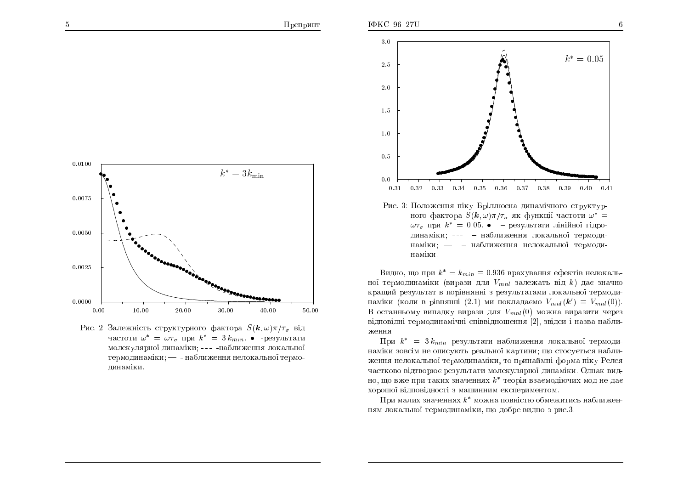

Рис. 2: Залежність структурного фактора  $S(\mathbf{k}, \omega)\pi/\tau_{\sigma}$  від частоти  $\omega^* = \omega \tau_{\sigma}$  при  $k^* = 3 k_{min}$ . • -результати молекулярної динаміки; --- -наближення локальної термодинаміки; - - наближення нелокальної термодинаміки.



ного фактора  $S(\mathbf{k}, \omega) \pi / \tau_{\sigma}$  як функції частоти  $\omega^* =$  $\omega \tau_{\sigma}$  при  $k^* = 0.05$ . • - результати лінійної гідродинаміки; --- - наближення локальної термодинаміки; - - наближення нелокальної термодинаміки.

Видно, що при  $k^* = k_{min} \equiv 0.936$  врахування ефектів нелокальної термодинаміки (вирази для  $V_{mnl}$  залежать від  $k$ ) дає значно кращий результат в порівнянні з результатами локальної термодинаміки (коли в рівнянні (2.1) ми покладаємо  $V_{mnl}(\mathbf{k}') \equiv V_{mnl}(0)$ ). В останньому випадку вирази для  $V_{mnl}(0)$  можна виразити через відповідні термодинамічні співвідношення [2], звідси і назва наближення.

При  $k^* = 3 k_{min}$  результати наближення локальної термодинаміки зовсім не описують реальної картини; що стосується наближення нелокальної термодинаміки, то принаймні форма піку Релея частково відтворює результати молекулярної динаміки. Однак видно, що вже при таких значеннях  $k^*$  теорія взаємодіючих мод не дає хорошої відповідності з машинним експериментом.

При малих значеннях  $k^*$  можна повністю обмежитись наближенням локальної термодинаміки, що добре видно з рис.3.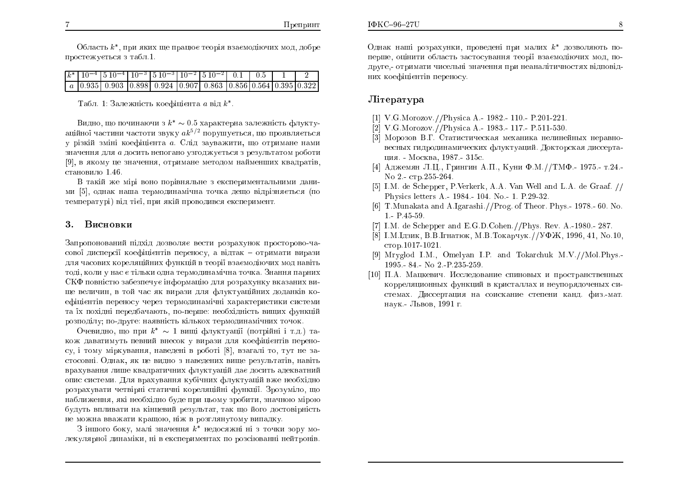Область  $k^*$ , при яких ще працює теорія взаємодіючих мод, добре простежується з табл.1.

|  |  | $k^*$ 10 <sup>-4</sup> 510 <sup>-4</sup> 10 <sup>-3</sup> 510 <sup>-3</sup> 10 <sup>-2</sup> 510 <sup>-2</sup> 0.1 0.5 |  |  |  |
|--|--|------------------------------------------------------------------------------------------------------------------------|--|--|--|
|  |  | $a$   0.935   0.903   0.898   0.924   0.907   0.863   0.856   0.564   0.395   0.322                                    |  |  |  |

Табл. 1: Залежність коефіцієнта  $a$  від  $k^*$ .

Видно, що починаючи з  $k^* \sim 0.5$  характерна залежність флукту- $\frac{15}{2}$ аційної частини частоти звуку  $a k^{5/2}$  порушується, що проявляється у різкій зміні коефіцієнта *а*. Слід зауважити, що отримане нами значення для *а* досить непогано узгоджується з результатом роботи<br>... [9], в якому це значення, отримане методом найменших квадратів, становило  $1.46$ .

В такій же мірі воно порівняльне з експериментальними даними [5], однак наша термодинамічна точка дещо відрізняється (по температурі) від тієї, при якій проводився експеримент.

#### 3.**Висновки**

Запропонований підхід дозволяє вести розрахунок просторово-часової дисперсії коефіцієнтів переносу, а відтак — отримати вирази для часових кореляційних функцій в теорії взаємодіючих мод навіть<br> тоді, коли у нас є тільки одна термодинамічна точка. Знання парних<br>----СКФ повністю забезпечує інформацію для розрахунку вказаних ви-<br>... ще величин, в той час як вирази для флуктуаційних доданків коефіцієнтів переносу через термодинамічні характеристики системи та їх похідні передбачають, по-перше: необхідність вищих функцій розподілу; по-друге: наявність кількох термодинамічних точок.

Очевидно, що при  $k^* \sim 1$  вищі флуктуації (потрійні і т.д.) також даватимуть певний внесок у вирази для коефіцієнтів перено-<br>су і доми міжниками полодомі в роботі <sup>[9]</sup>, драдоді до дид на ро су, і тому міркування, наведені в роботі  $[8]$ , взагалі то, тут не застосовні. Однак, як це видно з наведених вище результатів, навіть врахування лише квадратичних флуктуацій дає досить адекватний опис системи. Для врахування кубічних флуктуацій вже необхідно розрахувати четвірні статичні кореляційні функції. Зрозуміло, що наближення, які необхідно буде при цьому зробити, значною мірою<br>будуть впливати на кінцевий результат, так що його достовірність не можна вважати кращою, ніж в розглянутому випадку.<br>2 iumere бощь на підпороми в породинні під поши

 $3$  іншого боку, малі значення  $k^*$  недосяжні ні з точки зору молекулярної динаміки, ні в експериментах по розсіюванні нейтронів.<br>''

Однак наші розрахунки, проведені при малих  $k^*$  дозволяють поперше, оцінити область застосування теорії взаємодіючих мод, подруге,- отримати чисельні значення при неаналітичностях відповід<mark>-</mark> них коефіцієнтів переносу.

## Література

- [1] V.G.Morozov.//Physica A.- 1982.- 110.- P.201-221.
- [2] V.G.Morozov.//Physica A.- 1983.- 117.- P.511-530.
- [3] Морозов В.Г. Статистическая механика нелинейных неравновесных гидродинамических флуктуаций. Докторская диссертация. - Москва, 1987.- 315с.
- $[4]$  Аджемян Л.Ц., Грингин А.П., Куни Ф.М.//ТМФ.- 1975.- т.24.-No 2.-  $\text{crp.255-264}.$
- [5] I.M. de Schepper, P.Verkerk, A.A. VanWell and L.A. de Graaf. // Physics letters A.- 1984.- 104. No.- 1. P.29-32.
- [6] T.Munakata and A.Igarashi.//Prog. of Theor. Phys.- 1978.- 60. No. 1.-P.45-59.
- [7] I.M. de Schepper and E.G.D.Cohen.//Phys. Rev. A.-1980.- 287.
- [8] І.М.Ідзик, В.В.Ігнатюк, М.В.Токарчук.//УФЖ, 1996, 41, No.10, стор.1017-1021.
- [9] Mryglod I.M., Omelyan I.P. and Tokarchuk M.V.//Mol.Phys.- 1995.- 84.- No 2.-P.235-259.
- $\left[10\right]~\Pi.\mathrm{A}.$  Мацкевич. Исследование спиновых и пространственных корреляционных функций в кристаллах и неупорядоченых системах. Диссертация на соискание степени канд. физ.-мат.<br> наук.- Львов, 1991 г.